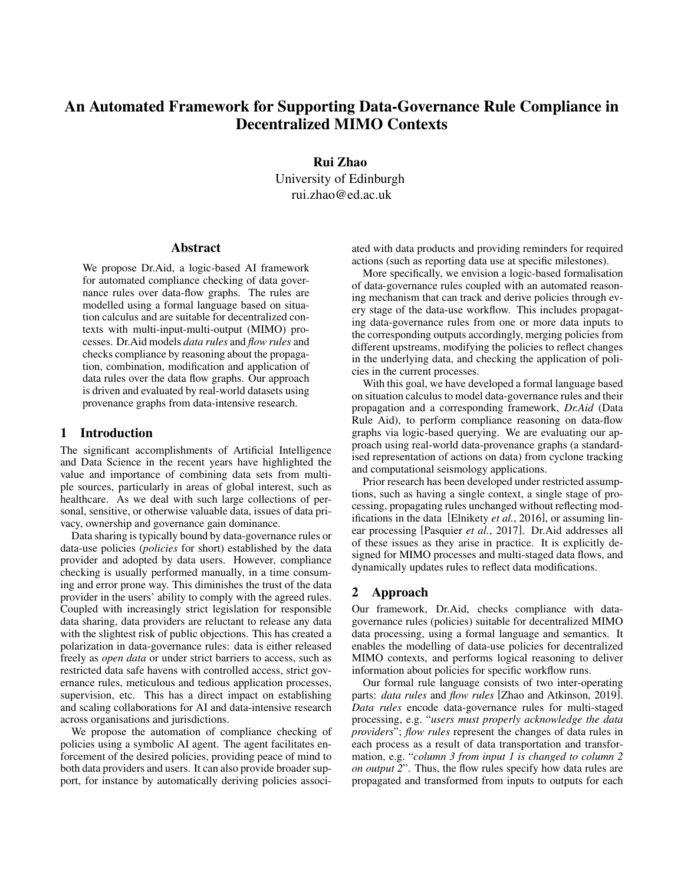# An Automated Framework for Supporting Data-Governance Rule Compliance in Decentralized MIMO Contexts

Rui Zhao University of Edinburgh rui.zhao@ed.ac.uk

#### Abstract

We propose Dr.Aid, a logic-based AI framework for automated compliance checking of data governance rules over data-flow graphs. The rules are modelled using a formal language based on situation calculus and are suitable for decentralized contexts with multi-input-multi-output (MIMO) processes. Dr.Aid models *data rules* and *flow rules* and checks compliance by reasoning about the propagation, combination, modification and application of data rules over the data flow graphs. Our approach is driven and evaluated by real-world datasets using provenance graphs from data-intensive research.

### 1 Introduction

The significant accomplishments of Artificial Intelligence and Data Science in the recent years have highlighted the value and importance of combining data sets from multiple sources, particularly in areas of global interest, such as healthcare. As we deal with such large collections of personal, sensitive, or otherwise valuable data, issues of data privacy, ownership and governance gain dominance.

Data sharing is typically bound by data-governance rules or data-use policies (*policies* for short) established by the data provider and adopted by data users. However, compliance checking is usually performed manually, in a time consuming and error prone way. This diminishes the trust of the data provider in the users' ability to comply with the agreed rules. Coupled with increasingly strict legislation for responsible data sharing, data providers are reluctant to release any data with the slightest risk of public objections. This has created a polarization in data-governance rules: data is either released freely as *open data* or under strict barriers to access, such as restricted data safe havens with controlled access, strict governance rules, meticulous and tedious application processes, supervision, etc. This has a direct impact on establishing and scaling collaborations for AI and data-intensive research across organisations and jurisdictions.

We propose the automation of compliance checking of policies using a symbolic AI agent. The agent facilitates enforcement of the desired policies, providing peace of mind to both data providers and users. It can also provide broader support, for instance by automatically deriving policies associated with data products and providing reminders for required actions (such as reporting data use at specific milestones).

More specifically, we envision a logic-based formalisation of data-governance rules coupled with an automated reasoning mechanism that can track and derive policies through every stage of the data-use workflow. This includes propagating data-governance rules from one or more data inputs to the corresponding outputs accordingly, merging policies from different upstreams, modifying the policies to reflect changes in the underlying data, and checking the application of policies in the current processes.

With this goal, we have developed a formal language based on situation calculus to model data-governance rules and their propagation and a corresponding framework, *Dr.Aid* (Data Rule Aid), to perform compliance reasoning on data-flow graphs via logic-based querying. We are evaluating our approach using real-world data-provenance graphs (a standardised representation of actions on data) from cyclone tracking and computational seismology applications.

Prior research has been developed under restricted assumptions, such as having a single context, a single stage of processing, propagating rules unchanged without reflecting modifications in the data [\[Elnikety](#page-1-0) *et al.*, 2016], or assuming linear processing [\[Pasquier](#page-1-1) *et al.*, 2017]. Dr.Aid addresses all of these issues as they arise in practice. It is explicitly designed for MIMO processes and multi-staged data flows, and dynamically updates rules to reflect data modifications.

#### 2 Approach

Our framework, Dr.Aid, checks compliance with datagovernance rules (policies) suitable for decentralized MIMO data processing, using a formal language and semantics. It enables the modelling of data-use policies for decentralized MIMO contexts, and performs logical reasoning to deliver information about policies for specific workflow runs.

Our formal rule language consists of two inter-operating parts: *data rules* and *flow rules* [\[Zhao and Atkinson, 2019\]](#page-1-2). *Data rules* encode data-governance rules for multi-staged processing, e.g. "*users must properly acknowledge the data providers*"; *flow rules* represent the changes of data rules in each process as a result of data transportation and transformation, e.g. "*column 3 from input 1 is changed to column 2 on output 2*". Thus, the flow rules specify how data rules are propagated and transformed from inputs to outputs for each